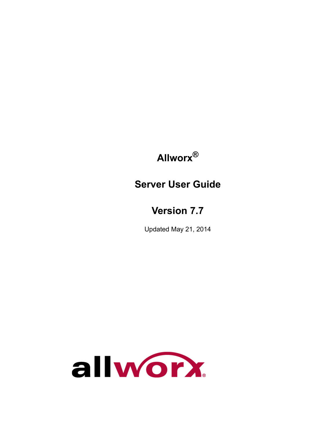# **Allworx®**

# **Server User Guide**

# **Version 7.7**

Updated May 21, 2014

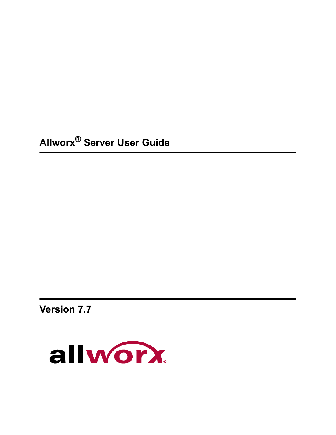**Allworx® Server User Guide** 

**Version 7.7**

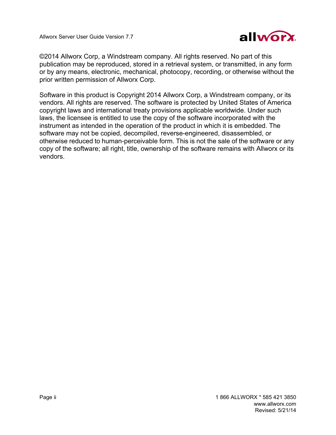Allworx Server User Guide Version 7.7



©2014 Allworx Corp, a Windstream company. All rights reserved. No part of this publication may be reproduced, stored in a retrieval system, or transmitted, in any form or by any means, electronic, mechanical, photocopy, recording, or otherwise without the prior written permission of Allworx Corp.

Software in this product is Copyright 2014 Allworx Corp, a Windstream company, or its vendors. All rights are reserved. The software is protected by United States of America copyright laws and international treaty provisions applicable worldwide. Under such laws, the licensee is entitled to use the copy of the software incorporated with the instrument as intended in the operation of the product in which it is embedded. The software may not be copied, decompiled, reverse-engineered, disassembled, or otherwise reduced to human-perceivable form. This is not the sale of the software or any copy of the software; all right, title, ownership of the software remains with Allworx or its vendors.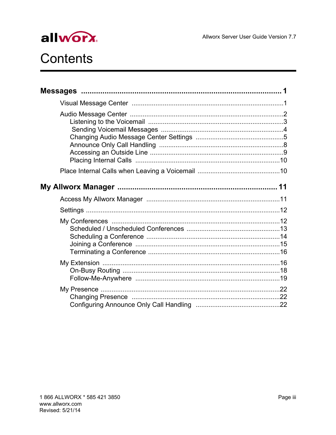

# **Contents**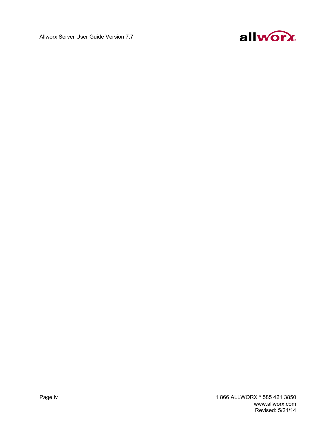Allworx Server User Guide Version 7.7

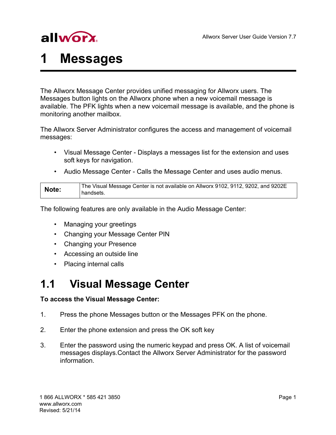

# <span id="page-6-0"></span>**1 Messages**

The Allworx Message Center provides unified messaging for Allworx users. The Messages button lights on the Allworx phone when a new voicemail message is available. The PFK lights when a new voicemail message is available, and the phone is monitoring another mailbox.

The Allworx Server Administrator configures the access and management of voicemail messages:

- Visual Message Center Displays a messages list for the extension and uses soft keys for navigation.
- Audio Message Center Calls the Message Center and uses audio menus.

| Note: | The Visual Message Center is not available on Allworx 9102, 9112, 9202, and 9202E |
|-------|-----------------------------------------------------------------------------------|
|       | handsets.                                                                         |

The following features are only available in the Audio Message Center:

- Managing your greetings
- Changing your Message Center PIN
- Changing your Presence
- Accessing an outside line
- Placing internal calls

# <span id="page-6-1"></span>**1.1 Visual Message Center**

### **To access the Visual Message Center:**

- 1. Press the phone Messages button or the Messages PFK on the phone.
- 2. Enter the phone extension and press the OK soft key
- 3. Enter the password using the numeric keypad and press OK. A list of voicemail messages displays.Contact the Allworx Server Administrator for the password information.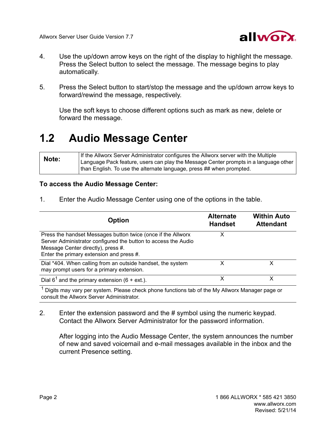

- 4. Use the up/down arrow keys on the right of the display to highlight the message. Press the Select button to select the message. The message begins to play automatically.
- 5. Press the Select button to start/stop the message and the up/down arrow keys to forward/rewind the message, respectively.

Use the soft keys to choose different options such as mark as new, delete or forward the message.

# <span id="page-7-0"></span>**1.2 Audio Message Center**

|       | If the Allworx Server Administrator configures the Allworx server with the Multiple  |  |
|-------|--------------------------------------------------------------------------------------|--|
| Note: | Language Pack feature, users can play the Message Center prompts in a language other |  |
|       | than English. To use the alternate language, press ## when prompted.                 |  |

#### **To access the Audio Message Center:**

1. Enter the Audio Message Center using one of the options in the table.

| <b>Option</b>                                                                                                                                                                                                    | <b>Alternate</b><br><b>Handset</b> | <b>Within Auto</b><br><b>Attendant</b> |
|------------------------------------------------------------------------------------------------------------------------------------------------------------------------------------------------------------------|------------------------------------|----------------------------------------|
| Press the handset Messages button twice (once if the Allworx<br>Server Administrator configured the button to access the Audio<br>Message Center directly), press #.<br>Enter the primary extension and press #. | x                                  |                                        |
| Dial *404. When calling from an outside handset, the system<br>may prompt users for a primary extension.                                                                                                         |                                    |                                        |
| Dial $6^1$ and the primary extension (6 + ext.).                                                                                                                                                                 | x                                  | x                                      |

 $1$  Digits may vary per system. Please check phone functions tab of the My Allworx Manager page or consult the Allworx Server Administrator.

2. Enter the extension password and the # symbol using the numeric keypad. Contact the Allworx Server Administrator for the password information.

After logging into the Audio Message Center, the system announces the number of new and saved voicemail and e-mail messages available in the inbox and the current Presence setting.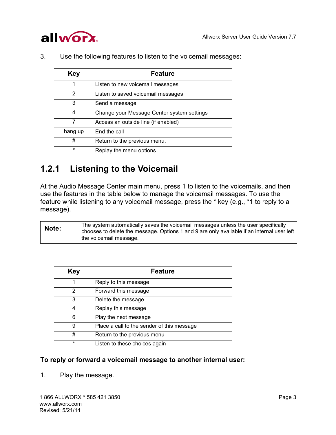

| Key     | <b>Feature</b>                             |
|---------|--------------------------------------------|
| 1       | Listen to new voicemail messages           |
| 2       | Listen to saved voicemail messages         |
| 3       | Send a message                             |
| 4       | Change your Message Center system settings |
| 7       | Access an outside line (if enabled)        |
| hang up | End the call                               |
| #       | Return to the previous menu.               |
| $\star$ | Replay the menu options.                   |

3. Use the following features to listen to the voicemail messages:

## <span id="page-8-0"></span>**1.2.1 Listening to the Voicemail**

At the Audio Message Center main menu, press 1 to listen to the voicemails, and then use the features in the table below to manage the voicemail messages. To use the feature while listening to any voicemail message, press the \* key (e.g., \*1 to reply to a message).

| Note: | The system automatically saves the voicemail messages unless the user specifically<br>chooses to delete the message. Options 1 and 9 are only available if an internal user left |
|-------|----------------------------------------------------------------------------------------------------------------------------------------------------------------------------------|
|       | the voicemail message.                                                                                                                                                           |

| Key     | <b>Feature</b>                             |
|---------|--------------------------------------------|
| 1       | Reply to this message                      |
| 2       | Forward this message                       |
| 3       | Delete the message                         |
| 4       | Replay this message                        |
| 6       | Play the next message                      |
| 9       | Place a call to the sender of this message |
| #       | Return to the previous menu                |
| $\star$ | Listen to these choices again              |

### **To reply or forward a voicemail message to another internal user:**

1. Play the message.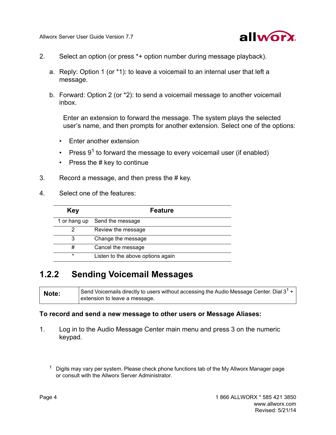

- 2. Select an option (or press \*+ option number during message playback).
	- a. Reply: Option 1 (or \*1): to leave a voicemail to an internal user that left a message.
	- b. Forward: Option 2 (or \*2): to send a voicemail message to another voicemail inbox.

Enter an extension to forward the message. The system plays the selected user's name, and then prompts for another extension. Select one of the options:

- Enter another extension
- Press  $9<sup>1</sup>$  to forward the message to every voicemail user (if enabled)
- Press the # key to continue
- 3. Record a message, and then press the # key.
- 4. Select one of the features:

| Key          | <b>Feature</b>                    |
|--------------|-----------------------------------|
| 1 or hang up | Send the message                  |
|              | Review the message                |
| 3            | Change the message                |
| #            | Cancel the message                |
| $\ast$       | Listen to the above options again |

## <span id="page-9-0"></span>**1.2.2 Sending Voicemail Messages**

**Note:** Send Voicemails directly to users without accessing the Audio Message Center. Dial 3<sup>1</sup> + extension to leave a message.

### **To record and send a new message to other users or Message Aliases:**

- 1. Log in to the Audio Message Center main menu and press 3 on the numeric keypad.
	- $1$  Digits may vary per system. Please check phone functions tab of the My Allworx Manager page or consult with the Allworx Server Administrator.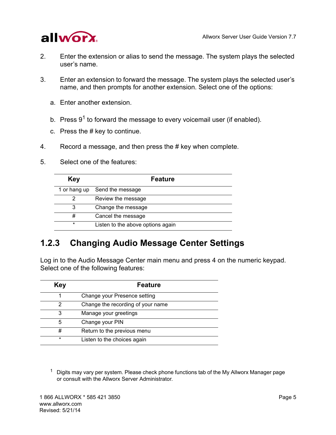

- 2. Enter the extension or alias to send the message. The system plays the selected user's name.
- 3. Enter an extension to forward the message. The system plays the selected user's name, and then prompts for another extension. Select one of the options:
	- a. Enter another extension.
	- b. Press  $9<sup>1</sup>$  to forward the message to every voicemail user (if enabled).
	- c. Press the # key to continue.
- 4. Record a message, and then press the # key when complete.
- 5. Select one of the features:

| Key          | <b>Feature</b>                    |
|--------------|-----------------------------------|
| 1 or hang up | Send the message                  |
| 2            | Review the message                |
| 3            | Change the message                |
| #            | Cancel the message                |
| $\star$      | Listen to the above options again |

## <span id="page-10-0"></span>**1.2.3 Changing Audio Message Center Settings**

Log in to the Audio Message Center main menu and press 4 on the numeric keypad. Select one of the following features:

| Key     | <b>Feature</b>                    |
|---------|-----------------------------------|
|         | Change your Presence setting      |
| 2       | Change the recording of your name |
| 3       | Manage your greetings             |
| 5       | Change your PIN                   |
| #       | Return to the previous menu       |
| $\star$ | Listen to the choices again       |

 $1$  Digits may vary per system. Please check phone functions tab of the My Allworx Manager page or consult with the Allworx Server Administrator.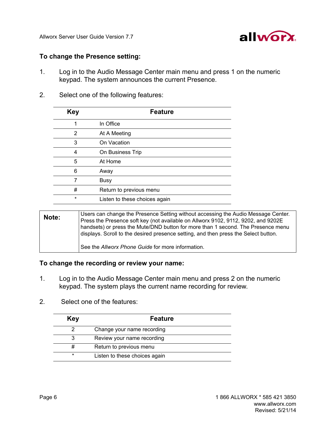

#### **To change the Presence setting:**

- 1. Log in to the Audio Message Center main menu and press 1 on the numeric keypad. The system announces the current Presence.
- 2. Select one of the following features:

| <b>Key</b> | <b>Feature</b>                |
|------------|-------------------------------|
| 1          | In Office                     |
| 2          | At A Meeting                  |
| 3          | On Vacation                   |
| 4          | On Business Trip              |
| 5          | At Home                       |
| 6          | Away                          |
|            | Busy                          |
| #          | Return to previous menu       |
| $\ast$     | Listen to these choices again |

| Note: | Users can change the Presence Setting without accessing the Audio Message Center.                                                                                       |
|-------|-------------------------------------------------------------------------------------------------------------------------------------------------------------------------|
|       | Press the Presence soft key (not available on Allworx 9102, 9112, 9202, and 9202E                                                                                       |
|       | handsets) or press the Mute/DND button for more than 1 second. The Presence menu<br>displays. Scroll to the desired presence setting, and then press the Select button. |
|       | See the Allworx Phone Guide for more information.                                                                                                                       |

## **To change the recording or review your name:**

- 1. Log in to the Audio Message Center main menu and press 2 on the numeric keypad. The system plays the current name recording for review.
- 2. Select one of the features:

| Key     | <b>Feature</b>                |  |
|---------|-------------------------------|--|
|         | Change your name recording    |  |
| 3       | Review your name recording    |  |
| #       | Return to previous menu       |  |
| $\star$ | Listen to these choices again |  |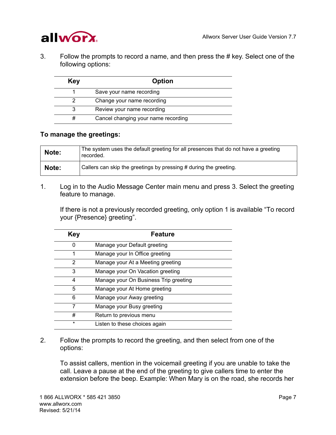

3. Follow the prompts to record a name, and then press the # key. Select one of the following options:

| <b>Key</b> | <b>Option</b>                       |  |
|------------|-------------------------------------|--|
|            | Save your name recording            |  |
|            | Change your name recording          |  |
| 3          | Review your name recording          |  |
| #          | Cancel changing your name recording |  |

#### <span id="page-12-1"></span><span id="page-12-0"></span>**To manage the greetings:**

| Note:                                                                      | The system uses the default greeting for all presences that do not have a greeting<br>recorded. |
|----------------------------------------------------------------------------|-------------------------------------------------------------------------------------------------|
| Callers can skip the greetings by pressing # during the greeting.<br>Note: |                                                                                                 |

1. Log in to the Audio Message Center main menu and press 3. Select the greeting feature to manage.

If there is not a previously recorded greeting, only option 1 is available "To record your {Presence} greeting".

| Key     | Feature                               |  |  |
|---------|---------------------------------------|--|--|
| 0       | Manage your Default greeting          |  |  |
| 1       | Manage your In Office greeting        |  |  |
| 2       | Manage your At a Meeting greeting     |  |  |
| 3       | Manage your On Vacation greeting      |  |  |
| 4       | Manage your On Business Trip greeting |  |  |
| 5       | Manage your At Home greeting          |  |  |
| 6       | Manage your Away greeting             |  |  |
|         | Manage your Busy greeting             |  |  |
| #       | Return to previous menu               |  |  |
| $\star$ | Listen to these choices again         |  |  |

2. Follow the prompts to record the greeting, and then select from one of the options:

To assist callers, mention in the voicemail greeting if you are unable to take the call. Leave a pause at the end of the greeting to give callers time to enter the extension before the beep. Example: When Mary is on the road, she records her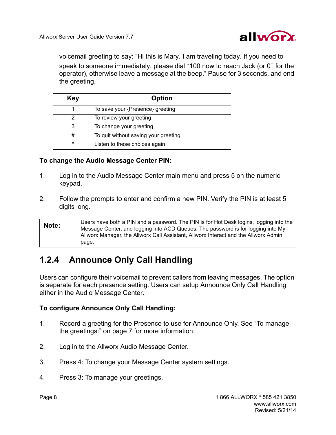

voicemail greeting to say: "Hi this is Mary. I am traveling today. If you need to speak to someone immediately, please dial \*100 now to reach Jack (or  $0^{\dagger}$  for the operator), otherwise leave a message at the beep." Pause for 3 seconds, and end the greeting.

| <b>Key</b> | <b>Option</b>                        |  |
|------------|--------------------------------------|--|
|            | To save your {Presence} greeting     |  |
| 2          | To review your greeting              |  |
| 3          | To change your greeting              |  |
| #          | To quit without saving your greeting |  |
| $\ast$     | Listen to these choices again        |  |

## **To change the Audio Message Center PIN:**

- 1. Log in to the Audio Message Center main menu and press 5 on the numeric keypad.
- 2. Follow the prompts to enter and confirm a new PIN. Verify the PIN is at least 5 digits long.

**Note:** Users have both a PIN and a password. The PIN is for Hot Desk logins, logging into the Message Center, and logging into ACD Queues. The password is for logging into My Allworx Manager, the Allworx Call Assistant, Allworx Interact and the Allworx Admin page.

## <span id="page-13-0"></span>**1.2.4 Announce Only Call Handling**

Users can configure their voicemail to prevent callers from leaving messages. The option is separate for each presence setting. Users can setup Announce Only Call Handling either in the Audio Message Center.

### **To configure Announce Only Call Handling:**

- 1. Record a greeting for the Presence to use for Announce Only. [See "To manage](#page-12-0)  [the greetings:" on page 7](#page-12-0) for more information.
- 2. Log in to the Allworx Audio Message Center.
- 3. Press 4: To change your Message Center system settings.
- 4. Press 3: To manage your greetings.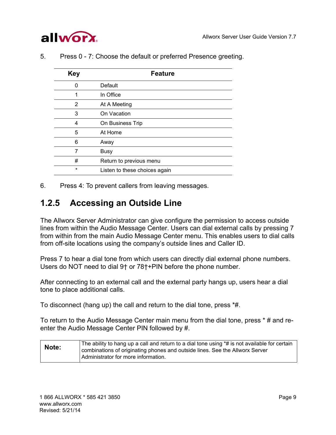

| <b>Key</b> | <b>Feature</b>                |  |
|------------|-------------------------------|--|
| 0          | Default                       |  |
| 1          | In Office                     |  |
| 2          | At A Meeting                  |  |
| 3          | On Vacation                   |  |
| 4          | On Business Trip              |  |
| 5          | At Home                       |  |
| 6          | Away                          |  |
| 7          | <b>Busy</b>                   |  |
| #          | Return to previous menu       |  |
| $\star$    | Listen to these choices again |  |

5. Press 0 - 7: Choose the default or preferred Presence greeting.

6. Press 4: To prevent callers from leaving messages.

## <span id="page-14-0"></span>**1.2.5 Accessing an Outside Line**

The Allworx Server Administrator can give configure the permission to access outside lines from within the Audio Message Center. Users can dial external calls by pressing 7 from within from the main Audio Message Center menu. This enables users to dial calls from off-site locations using the company's outside lines and Caller ID.

Press 7 to hear a dial tone from which users can directly dial external phone numbers. Users do NOT need to dial 9† or 78†+PIN before the phone number.

After connecting to an external call and the external party hangs up, users hear a dial tone to place additional calls.

To disconnect (hang up) the call and return to the dial tone, press \*#.

To return to the Audio Message Center main menu from the dial tone, press \* # and reenter the Audio Message Center PIN followed by #.

| Note: | The ability to hang up a call and return to a dial tone using *# is not available for certain |
|-------|-----------------------------------------------------------------------------------------------|
|       | combinations of originating phones and outside lines. See the Allworx Server                  |
|       | Administrator for more information.                                                           |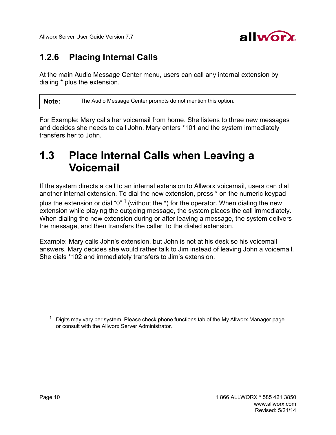



## <span id="page-15-0"></span>**1.2.6 Placing Internal Calls**

At the main Audio Message Center menu, users can call any internal extension by dialing \* plus the extension.

| Note: | The Audio Message Center prompts do not mention this option. |
|-------|--------------------------------------------------------------|
|-------|--------------------------------------------------------------|

For Example: Mary calls her voicemail from home. She listens to three new messages and decides she needs to call John. Mary enters \*101 and the system immediately transfers her to John.

# <span id="page-15-1"></span>**1.3 Place Internal Calls when Leaving a Voicemail**

If the system directs a call to an internal extension to Allworx voicemail, users can dial another internal extension. To dial the new extension, press \* on the numeric keypad plus the extension or dial "0" <sup>1</sup> (without the \*) for the operator. When dialing the new extension while playing the outgoing message, the system places the call immediately. When dialing the new extension during or after leaving a message, the system delivers the message, and then transfers the caller to the dialed extension.

<span id="page-15-2"></span>Example: Mary calls John's extension, but John is not at his desk so his voicemail answers. Mary decides she would rather talk to Jim instead of leaving John a voicemail. She dials \*102 and immediately transfers to Jim's extension.

 $<sup>1</sup>$  Digits may vary per system. Please check phone functions tab of the My Allworx Manager page</sup> or consult with the Allworx Server Administrator.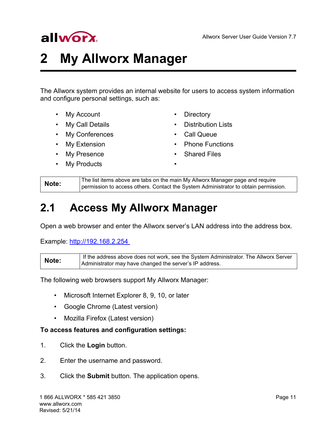

# <span id="page-16-0"></span>**2 My Allworx Manager**

The Allworx system provides an internal website for users to access system information and configure personal settings, such as:

- My Account  **Directory**
- 
- My Conferences Call Queue
- 
- My Presence  **Shared Files**
- My Products
- 
- My Call Details **•** Distribution Lists
	-
	- My Extension  **Phone Functions** 
		-

**Note:** The list items above are tabs on the main My Allworx Manager page and require permission to access others. Contact the System Administrator to obtain permission.

# <span id="page-16-1"></span>**2.1 Access My Allworx Manager**

Open a web browser and enter the Allworx server's LAN address into the address box.

Example: http://192.168.2.254

| Note: | If the address above does not work, see the System Administrator. The Allworx Server |
|-------|--------------------------------------------------------------------------------------|
|       | Administrator may have changed the server's IP address.                              |

The following web browsers support My Allworx Manager:

- Microsoft Internet Explorer 8, 9, 10, or later
- Google Chrome (Latest version)
- Mozilla Firefox (Latest version)

### <span id="page-16-2"></span>**To access features and configuration settings:**

- 1. Click the **Login** button.
- 2. Enter the username and password.
- 3. Click the **Submit** button. The application opens.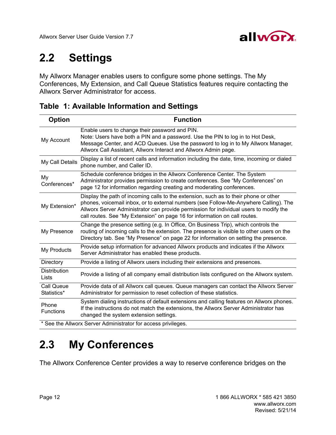

# <span id="page-17-0"></span>**2.2 Settings**

My Allworx Manager enables users to configure some phone settings. The My Conferences, My Extension, and Call Queue Statistics features require contacting the Allworx Server Administrator for access.

| <b>Option</b>                                                 | <b>Function</b>                                                                                                                                                                                                                                                                                                                                       |  |
|---------------------------------------------------------------|-------------------------------------------------------------------------------------------------------------------------------------------------------------------------------------------------------------------------------------------------------------------------------------------------------------------------------------------------------|--|
| My Account                                                    | Enable users to change their password and PIN.<br>Note: Users have both a PIN and a password. Use the PIN to log in to Hot Desk,<br>Message Center, and ACD Queues. Use the password to log in to My Allworx Manager,<br>Allworx Call Assistant, Allworx Interact and Allworx Admin page.                                                             |  |
| My Call Details                                               | Display a list of recent calls and information including the date, time, incoming or dialed<br>phone number, and Caller ID.                                                                                                                                                                                                                           |  |
| My<br>Conferences*                                            | Schedule conference bridges in the Allworx Conference Center. The System<br>Administrator provides permission to create conferences. See "My Conferences" on<br>page 12 for information regarding creating and moderating conferences.                                                                                                                |  |
| My Extension*                                                 | Display the path of incoming calls to the extension, such as to their phone or other<br>phones, voicemail inbox, or to external numbers (see Follow-Me-Anywhere Calling). The<br>Allworx Server Administrator can provide permission for individual users to modify the<br>call routes. See "My Extension" on page 16 for information on call routes. |  |
| My Presence                                                   | Change the presence setting (e.g. In Office, On Business Trip), which controls the<br>routing of incoming calls to the extension. The presence is visible to other users on the<br>Directory tab. See "My Presence" on page 22 for information on setting the presence.                                                                               |  |
| My Products                                                   | Provide setup information for advanced Allworx products and indicates if the Allworx<br>Server Administrator has enabled these products.                                                                                                                                                                                                              |  |
| Directory                                                     | Provide a listing of Allworx users including their extensions and presences.                                                                                                                                                                                                                                                                          |  |
| Distribution<br>Lists                                         | Provide a listing of all company email distribution lists configured on the Allworx system.                                                                                                                                                                                                                                                           |  |
| <b>Call Queue</b><br>Statistics*                              | Provide data of all Allworx call queues. Queue managers can contact the Allworx Server<br>Administrator for permission to reset collection of these statistics.                                                                                                                                                                                       |  |
| Phone<br><b>Functions</b>                                     | System dialing instructions of default extensions and calling features on Allworx phones.<br>If the instructions do not match the extensions, the Allworx Server Administrator has<br>changed the system extension settings.                                                                                                                          |  |
| * See the Allworx Server Administrator for access privileges. |                                                                                                                                                                                                                                                                                                                                                       |  |

## **Table 1: Available Information and Settings**

# <span id="page-17-1"></span>**2.3 My Conferences**

The Allworx Conference Center provides a way to reserve conference bridges on the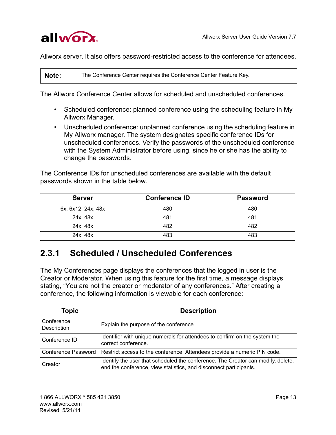

Allworx server. It also offers password-restricted access to the conference for attendees.

| Note: | The Conference Center requires the Conference Center Feature Key. |
|-------|-------------------------------------------------------------------|
|-------|-------------------------------------------------------------------|

The Allworx Conference Center allows for scheduled and unscheduled conferences.

- Scheduled conference: planned conference using the scheduling feature in My Allworx Manager.
- Unscheduled conference: unplanned conference using the scheduling feature in My Allworx manager. The system designates specific conference IDs for unscheduled conferences. Verify the passwords of the unscheduled conference with the System Administrator before using, since he or she has the ability to change the passwords.

The Conference IDs for unscheduled conferences are available with the default passwords shown in the table below.

| <b>Server</b>      | <b>Conference ID</b> | <b>Password</b> |
|--------------------|----------------------|-----------------|
| 6x, 6x12, 24x, 48x | 480                  | 480             |
| 24x, 48x           | 481                  | 481             |
| 24x, 48x           | 482                  | 482             |
| 24x, 48x           | 483                  | 483             |

## <span id="page-18-0"></span>**2.3.1 Scheduled / Unscheduled Conferences**

The My Conferences page displays the conferences that the logged in user is the Creator or Moderator. When using this feature for the first time, a message displays stating, "You are not the creator or moderator of any conferences." After creating a conference, the following information is viewable for each conference:

| Topic                     | <b>Description</b>                                                                                                                                    |
|---------------------------|-------------------------------------------------------------------------------------------------------------------------------------------------------|
| Conference<br>Description | Explain the purpose of the conference.                                                                                                                |
| Conference ID             | Identifier with unique numerals for attendees to confirm on the system the<br>correct conference.                                                     |
|                           | Conference Password Restrict access to the conference. Attendees provide a numeric PIN code.                                                          |
| Creator                   | Identify the user that scheduled the conference. The Creator can modify, delete,<br>end the conference, view statistics, and disconnect participants. |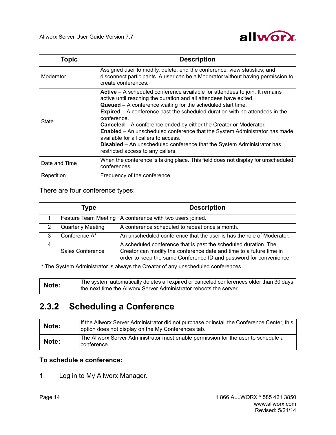

| Topic         | <b>Description</b>                                                                                                                                                                                                                                                                                                                                                                                                                                                                                                                                                                                                                                           |
|---------------|--------------------------------------------------------------------------------------------------------------------------------------------------------------------------------------------------------------------------------------------------------------------------------------------------------------------------------------------------------------------------------------------------------------------------------------------------------------------------------------------------------------------------------------------------------------------------------------------------------------------------------------------------------------|
| Moderator     | Assigned user to modify, delete, end the conference, view statistics, and<br>disconnect participants. A user can be a Moderator without having permission to<br>create conferences.                                                                                                                                                                                                                                                                                                                                                                                                                                                                          |
| State         | Active – A scheduled conference available for attendees to join. It remains<br>active until reaching the duration and all attendees have exited.<br><b>Queued</b> $-$ A conference waiting for the scheduled start time.<br><b>Expired</b> – A conference past the scheduled duration with no attendees in the<br>conference.<br><b>Canceled</b> – A conference ended by either the Creator or Moderator.<br><b>Enabled</b> – An unscheduled conference that the System Administrator has made<br>available for all callers to access.<br><b>Disabled</b> – An unscheduled conference that the System Administrator has<br>restricted access to any callers. |
| Date and Time | When the conference is taking place. This field does not display for unscheduled<br>conferences.                                                                                                                                                                                                                                                                                                                                                                                                                                                                                                                                                             |
| Repetition    | Frequency of the conference.                                                                                                                                                                                                                                                                                                                                                                                                                                                                                                                                                                                                                                 |

There are four conference types:

|                | Type                     | <b>Description</b>                                                                                                                                                                                          |
|----------------|--------------------------|-------------------------------------------------------------------------------------------------------------------------------------------------------------------------------------------------------------|
| 1              |                          | Feature Team Meeting A conference with two users joined.                                                                                                                                                    |
| 2              | <b>Quarterly Meeting</b> | A conference scheduled to repeat once a month.                                                                                                                                                              |
| 3              | Conference A*            | An unscheduled conference that the user is has the role of Moderator.                                                                                                                                       |
| $\overline{4}$ | Sales Conference         | A scheduled conference that is past the scheduled duration. The<br>Creator can modify the conference date and time to a future time in<br>order to keep the same Conference ID and password for convenience |
|                |                          | * The System Administrator is always the Creator of any unscheduled conferences                                                                                                                             |

| Note: | The system automatically deletes all expired or canceled conferences older than 30 days |
|-------|-----------------------------------------------------------------------------------------|
|       | the next time the Allworx Server Administrator reboots the server.                      |

## <span id="page-19-0"></span>**2.3.2 Scheduling a Conference**

| Note: | If the Allworx Server Administrator did not purchase or install the Conference Center, this<br>option does not display on the My Conferences tab. |
|-------|---------------------------------------------------------------------------------------------------------------------------------------------------|
| Note: | The Allworx Server Administrator must enable permission for the user to schedule a<br>conference.                                                 |

## **To schedule a conference:**

1. Log in to My Allworx Manager.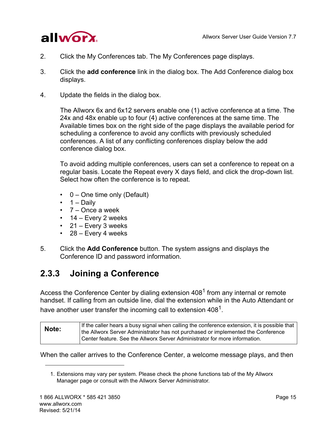

- 2. Click the My Conferences tab. The My Conferences page displays.
- 3. Click the **add conference** link in the dialog box. The Add Conference dialog box displays.
- 4. Update the fields in the dialog box.

The Allworx 6x and 6x12 servers enable one (1) active conference at a time. The 24x and 48x enable up to four (4) active conferences at the same time. The Available times box on the right side of the page displays the available period for scheduling a conference to avoid any conflicts with previously scheduled conferences. A list of any conflicting conferences display below the add conference dialog box.

To avoid adding multiple conferences, users can set a conference to repeat on a regular basis. Locate the Repeat every X days field, and click the drop-down list. Select how often the conference is to repeat.

- 0 One time only (Default)
- $\cdot$  1 Daily
- 7 Once a week
- $\cdot$  14 Every 2 weeks
- 21 Every 3 weeks
- 28 Every 4 weeks
- 5. Click the **Add Conference** button. The system assigns and displays the Conference ID and password information.

## <span id="page-20-0"></span>**2.3.3 Joining a Conference**

Access the Conference Center by dialing extension  $408<sup>1</sup>$  from any internal or remote handset. If calling from an outside line, dial the extension while in the Auto Attendant or have another user transfer the incoming call to extension  $408<sup>1</sup>$ .

| Note: | If the caller hears a busy signal when calling the conference extension, it is possible that |
|-------|----------------------------------------------------------------------------------------------|
|       | the Allworx Server Administrator has not purchased or implemented the Conference             |
|       | Center feature. See the Allworx Server Administrator for more information.                   |

When the caller arrives to the Conference Center, a welcome message plays, and then

<sup>1.</sup> Extensions may vary per system. Please check the phone functions tab of the My Allworx Manager page or consult with the Allworx Server Administrator.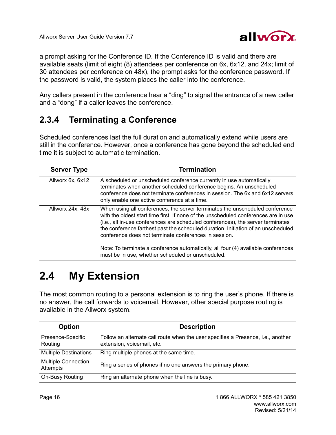

a prompt asking for the Conference ID. If the Conference ID is valid and there are available seats (limit of eight (8) attendees per conference on 6x, 6x12, and 24x; limit of 30 attendees per conference on 48x), the prompt asks for the conference password. If the password is valid, the system places the caller into the conference.

Any callers present in the conference hear a "ding" to signal the entrance of a new caller and a "dong" if a caller leaves the conference.

## <span id="page-21-0"></span>**2.3.4 Terminating a Conference**

Scheduled conferences last the full duration and automatically extend while users are still in the conference. However, once a conference has gone beyond the scheduled end time it is subject to automatic termination.

| <b>Server Type</b> | <b>Termination</b>                                                                                                                                                                                                                                                                                                                                                                                   |
|--------------------|------------------------------------------------------------------------------------------------------------------------------------------------------------------------------------------------------------------------------------------------------------------------------------------------------------------------------------------------------------------------------------------------------|
| Allworx 6x, 6x12   | A scheduled or unscheduled conference currently in use automatically<br>terminates when another scheduled conference begins. An unscheduled<br>conference does not terminate conferences in session. The 6x and 6x12 servers<br>only enable one active conference at a time.                                                                                                                         |
| Allworx 24x, 48x   | When using all conferences, the server terminates the unscheduled conference<br>with the oldest start time first. If none of the unscheduled conferences are in use<br>(i.e., all in-use conferences are scheduled conferences), the server terminates<br>the conference farthest past the scheduled duration. Initiation of an unscheduled<br>conference does not terminate conferences in session. |
|                    | Note: To terminate a conference automatically, all four (4) available conferences<br>must be in use, whether scheduled or unscheduled.                                                                                                                                                                                                                                                               |

# <span id="page-21-1"></span>**2.4 My Extension**

The most common routing to a personal extension is to ring the user's phone. If there is no answer, the call forwards to voicemail. However, other special purpose routing is available in the Allworx system.

| <b>Option</b>                          | <b>Description</b>                                                                                             |
|----------------------------------------|----------------------------------------------------------------------------------------------------------------|
| Presence-Specific<br>Routing           | Follow an alternate call route when the user specifies a Presence, i.e., another<br>extension, voicemail, etc. |
| <b>Multiple Destinations</b>           | Ring multiple phones at the same time.                                                                         |
| <b>Multiple Connection</b><br>Attempts | Ring a series of phones if no one answers the primary phone.                                                   |
| On-Busy Routing                        | Ring an alternate phone when the line is busy.                                                                 |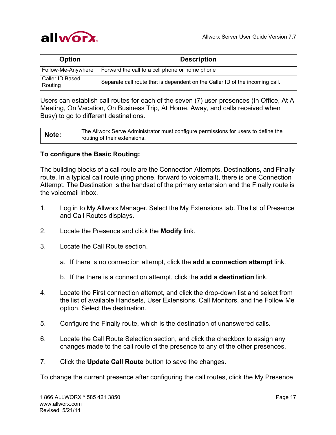

| <b>Option</b>              | <b>Description</b>                                                           |
|----------------------------|------------------------------------------------------------------------------|
| Follow-Me-Anywhere         | Forward the call to a cell phone or home phone                               |
| Caller ID Based<br>Routing | Separate call route that is dependent on the Caller ID of the incoming call. |

Users can establish call routes for each of the seven (7) user presences (In Office, At A Meeting, On Vacation, On Business Trip, At Home, Away, and calls received when Busy) to go to different destinations.

|       | The Allworx Serve Administrator must configure permissions for users to define the |
|-------|------------------------------------------------------------------------------------|
| Note: | routing of their extensions.                                                       |

#### **To configure the Basic Routing:**

The building blocks of a call route are the Connection Attempts, Destinations, and Finally route. In a typical call route (ring phone, forward to voicemail), there is one Connection Attempt. The Destination is the handset of the primary extension and the Finally route is the voicemail inbox.

- 1. Log in to My Allworx Manager. Select the My Extensions tab. The list of Presence and Call Routes displays.
- 2. Locate the Presence and click the **Modify** link.
- 3. Locate the Call Route section.
	- a. If there is no connection attempt, click the **add a connection attempt** link.
	- b. If the there is a connection attempt, click the **add a destination** link.
- 4. Locate the First connection attempt, and click the drop-down list and select from the list of available Handsets, User Extensions, Call Monitors, and the Follow Me option. Select the destination.
- 5. Configure the Finally route, which is the destination of unanswered calls.
- 6. Locate the Call Route Selection section, and click the checkbox to assign any changes made to the call route of the presence to any of the other presences.
- 7. Click the **Update Call Route** button to save the changes.

To change the current presence after configuring the call routes, click the My Presence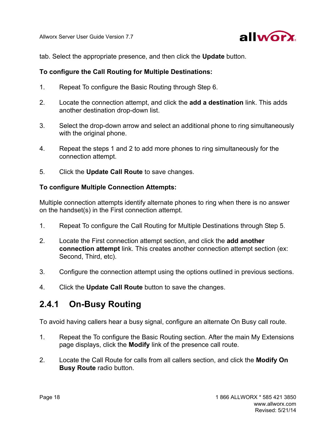

tab. Select the appropriate presence, and then click the **Update** button.

## **To configure the Call Routing for Multiple Destinations:**

- 1. Repeat To configure the Basic Routing through Step 6.
- 2. Locate the connection attempt, and click the **add a destination** link. This adds another destination drop-down list.
- 3. Select the drop-down arrow and select an additional phone to ring simultaneously with the original phone.
- 4. Repeat the steps 1 and 2 to add more phones to ring simultaneously for the connection attempt.
- 5. Click the **Update Call Route** to save changes.

## **To configure Multiple Connection Attempts:**

Multiple connection attempts identify alternate phones to ring when there is no answer on the handset(s) in the First connection attempt.

- 1. Repeat To configure the Call Routing for Multiple Destinations through Step 5.
- 2. Locate the First connection attempt section, and click the **add another connection attempt** link. This creates another connection attempt section (ex: Second, Third, etc).
- 3. Configure the connection attempt using the options outlined in previous sections.
- 4. Click the **Update Call Route** button to save the changes.

## <span id="page-23-0"></span>**2.4.1 On-Busy Routing**

To avoid having callers hear a busy signal, configure an alternate On Busy call route.

- 1. Repeat the To configure the Basic Routing section. After the main My Extensions page displays, click the **Modify** link of the presence call route.
- 2. Locate the Call Route for calls from all callers section, and click the **Modify On Busy Route** radio button.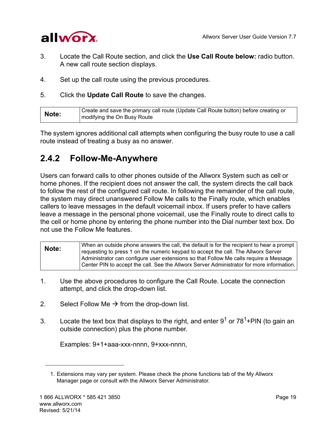



- 3. Locate the Call Route section, and click the **Use Call Route below:** radio button. A new call route section displays.
- 4. Set up the call route using the previous procedures.
- 5. Click the **Update Call Route** to save the changes.

| Note: | Create and save the primary call route (Update Call Route button) before creating or |
|-------|--------------------------------------------------------------------------------------|
|       | modifying the On Busy Route                                                          |

The system ignores additional call attempts when configuring the busy route to use a call route instead of treating a busy as no answer.

## <span id="page-24-0"></span>**2.4.2 Follow-Me-Anywhere**

Users can forward calls to other phones outside of the Allworx System such as cell or home phones. If the recipient does not answer the call, the system directs the call back to follow the rest of the configured call route. In following the remainder of the call route, the system may direct unanswered Follow Me calls to the Finally route, which enables callers to leave messages in the default voicemail inbox. If users prefer to have callers leave a message in the personal phone voicemail, use the Finally route to direct calls to the cell or home phone by entering the phone number into the Dial number text box. Do not use the Follow Me features.

| Note: | When an outside phone answers the call, the default is for the recipient to hear a prompt |
|-------|-------------------------------------------------------------------------------------------|
|       | requesting to press 1 on the numeric keypad to accept the call. The Allworx Server        |
|       | Administrator can configure user extensions so that Follow Me calls require a Message     |
|       | Center PIN to accept the call. See the Allworx Server Administrator for more information. |

- 1. Use the above procedures to configure the Call Route. Locate the connection attempt, and click the drop-down list.
- 2. Select Follow Me  $\rightarrow$  from the drop-down list.
- 3. Locate the text box that displays to the right, and enter  $9^1$  or  $78^1+P$ IN (to gain an outside connection) plus the phone number.

Examples: 9+1+aaa-xxx-nnnn, 9+xxx-nnnn,

<sup>1.</sup> Extensions may vary per system. Please check the phone functions tab of the My Allworx Manager page or consult with the Allworx Server Administrator.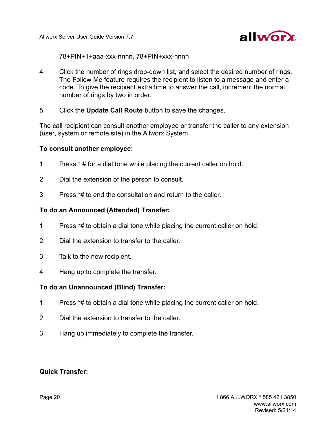Allworx Server User Guide Version 7.7



78+PIN+1+aaa-xxx-nnnn, 78+PIN+xxx-nnnn

- 4. Click the number of rings drop-down list, and select the desired number of rings. The Follow Me feature requires the recipient to listen to a message and enter a code. To give the recipient extra time to answer the call, increment the normal number of rings by two in order.
- 5. Click the **Update Call Route** button to save the changes.

The call recipient can consult another employee or transfer the caller to any extension (user, system or remote site) in the Allworx System.

#### **To consult another employee:**

- 1. Press \* # for a dial tone while placing the current caller on hold.
- 2. Dial the extension of the person to consult.
- 3. Press \*# to end the consultation and return to the caller.

#### **To do an Announced (Attended) Transfer:**

- 1. Press \*# to obtain a dial tone while placing the current caller on hold.
- 2. Dial the extension to transfer to the caller.
- 3. Talk to the new recipient.
- 4. Hang up to complete the transfer.

### **To do an Unannounced (Blind) Transfer:**

- 1. Press \*# to obtain a dial tone while placing the current caller on hold.
- 2. Dial the extension to transfer to the caller.
- 3. Hang up immediately to complete the transfer.

## **Quick Transfer:**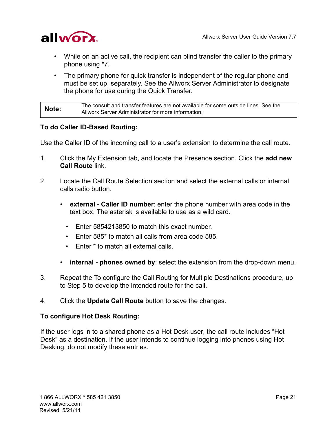

- While on an active call, the recipient can blind transfer the caller to the primary phone using \*7.
- The primary phone for quick transfer is independent of the regular phone and must be set up, separately. See the Allworx Server Administrator to designate the phone for use during the Quick Transfer.

|       | The consult and transfer features are not available for some outside lines. See the |
|-------|-------------------------------------------------------------------------------------|
| Note: | Allworx Server Administrator for more information.                                  |

### **To do Caller ID-Based Routing:**

Use the Caller ID of the incoming call to a user's extension to determine the call route.

- 1. Click the My Extension tab, and locate the Presence section. Click the **add new Call Route** link.
- 2. Locate the Call Route Selection section and select the external calls or internal calls radio button.
	- **external Caller ID number**: enter the phone number with area code in the text box. The asterisk is available to use as a wild card.
		- Enter 5854213850 to match this exact number.
		- Enter 585\* to match all calls from area code 585.
		- Enter \* to match all external calls.
	- **internal phones owned by**: select the extension from the drop-down menu.
- 3. Repeat the To configure the Call Routing for Multiple Destinations procedure, up to Step 5 to develop the intended route for the call.
- 4. Click the **Update Call Route** button to save the changes.

#### **To configure Hot Desk Routing:**

If the user logs in to a shared phone as a Hot Desk user, the call route includes "Hot Desk" as a destination. If the user intends to continue logging into phones using Hot Desking, do not modify these entries.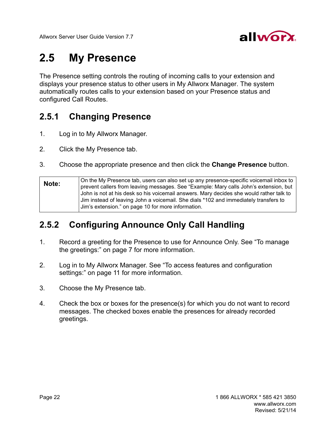

# <span id="page-27-0"></span>**2.5 My Presence**

The Presence setting controls the routing of incoming calls to your extension and displays your presence status to other users in My Allworx Manager. The system automatically routes calls to your extension based on your Presence status and configured Call Routes.

## <span id="page-27-1"></span>**2.5.1 Changing Presence**

- 1. Log in to My Allworx Manager.
- 2. Click the My Presence tab.
- 3. Choose the appropriate presence and then click the **Change Presence** button.

| Note: | On the My Presence tab, users can also set up any presence-specific voicemail inbox to  |
|-------|-----------------------------------------------------------------------------------------|
|       | prevent callers from leaving messages. See "Example: Mary calls John's extension, but   |
|       | John is not at his desk so his voicemail answers. Mary decides she would rather talk to |
|       | Jim instead of leaving John a voicemail. She dials *102 and immediately transfers to    |
|       | Jim's extension." on page 10 for more information.                                      |

## <span id="page-27-2"></span>**2.5.2 Configuring Announce Only Call Handling**

- 1. Record a greeting for the Presence to use for Announce Only. [See "To manage](#page-12-1)  [the greetings:" on page 7](#page-12-1) for more information.
- 2. Log in to My Allworx Manager. [See "To access features and configuration](#page-16-2)  [settings:" on page 11](#page-16-2) for more information.
- 3. Choose the My Presence tab.
- 4. Check the box or boxes for the presence(s) for which you do not want to record messages. The checked boxes enable the presences for already recorded greetings.